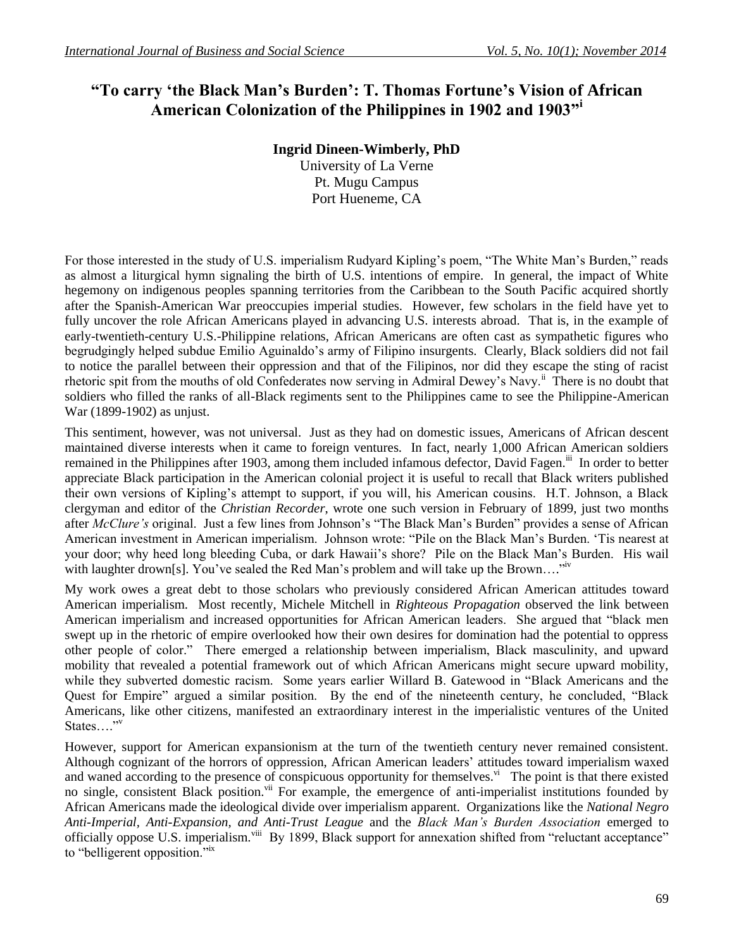## **"To carry 'the Black Man's Burden': T. Thomas Fortune's Vision of African American Colonization of the Philippines in 1902 and 1903"<sup>i</sup>**

## **Ingrid Dineen-Wimberly, PhD**

University of La Verne Pt. Mugu Campus Port Hueneme, CA

For those interested in the study of U.S. imperialism Rudyard Kipling's poem, "The White Man's Burden," reads as almost a liturgical hymn signaling the birth of U.S. intentions of empire. In general, the impact of White hegemony on indigenous peoples spanning territories from the Caribbean to the South Pacific acquired shortly after the Spanish-American War preoccupies imperial studies. However, few scholars in the field have yet to fully uncover the role African Americans played in advancing U.S. interests abroad. That is, in the example of early-twentieth-century U.S.-Philippine relations, African Americans are often cast as sympathetic figures who begrudgingly helped subdue Emilio Aguinaldo's army of Filipino insurgents. Clearly, Black soldiers did not fail to notice the parallel between their oppression and that of the Filipinos, nor did they escape the sting of racist rhetoric spit from the mouths of old Confederates now serving in Admiral Dewey's Navy.<sup>ii</sup> There is no doubt that soldiers who filled the ranks of all-Black regiments sent to the Philippines came to see the Philippine-American War (1899-1902) as unjust.

This sentiment, however, was not universal. Just as they had on domestic issues, Americans of African descent maintained diverse interests when it came to foreign ventures. In fact, nearly 1,000 African American soldiers remained in the Philippines after 1903, among them included infamous defector, David Fagen.<sup>iii</sup> In order to better appreciate Black participation in the American colonial project it is useful to recall that Black writers published their own versions of Kipling's attempt to support, if you will, his American cousins. H.T. Johnson, a Black clergyman and editor of the *Christian Recorder*, wrote one such version in February of 1899, just two months after *McClure's* original. Just a few lines from Johnson's "The Black Man's Burden" provides a sense of African American investment in American imperialism. Johnson wrote: "Pile on the Black Man's Burden. 'Tis nearest at your door; why heed long bleeding Cuba, or dark Hawaii's shore? Pile on the Black Man's Burden. His wail with laughter drown[s]. You've sealed the Red Man's problem and will take up the Brown...."

My work owes a great debt to those scholars who previously considered African American attitudes toward American imperialism. Most recently, Michele Mitchell in *Righteous Propagation* observed the link between American imperialism and increased opportunities for African American leaders. She argued that "black men swept up in the rhetoric of empire overlooked how their own desires for domination had the potential to oppress other people of color." There emerged a relationship between imperialism, Black masculinity, and upward mobility that revealed a potential framework out of which African Americans might secure upward mobility, while they subverted domestic racism. Some years earlier Willard B. Gatewood in "Black Americans and the Quest for Empire" argued a similar position. By the end of the nineteenth century, he concluded, "Black Americans, like other citizens, manifested an extraordinary interest in the imperialistic ventures of the United States...." $\mathbf{v}$ 

However, support for American expansionism at the turn of the twentieth century never remained consistent. Although cognizant of the horrors of oppression, African American leaders' attitudes toward imperialism waxed and waned according to the presence of conspicuous opportunity for themselves.<sup>vi</sup> The point is that there existed no single, consistent Black position.<sup>vii</sup> For example, the emergence of anti-imperialist institutions founded by African Americans made the ideological divide over imperialism apparent. Organizations like the *National Negro Anti-Imperial, Anti-Expansion, and Anti-Trust League* and the *Black Man's Burden Association* emerged to officially oppose U.S. imperialism. Viii By 1899, Black support for annexation shifted from "reluctant acceptance" to "belligerent opposition."<sup>ix</sup>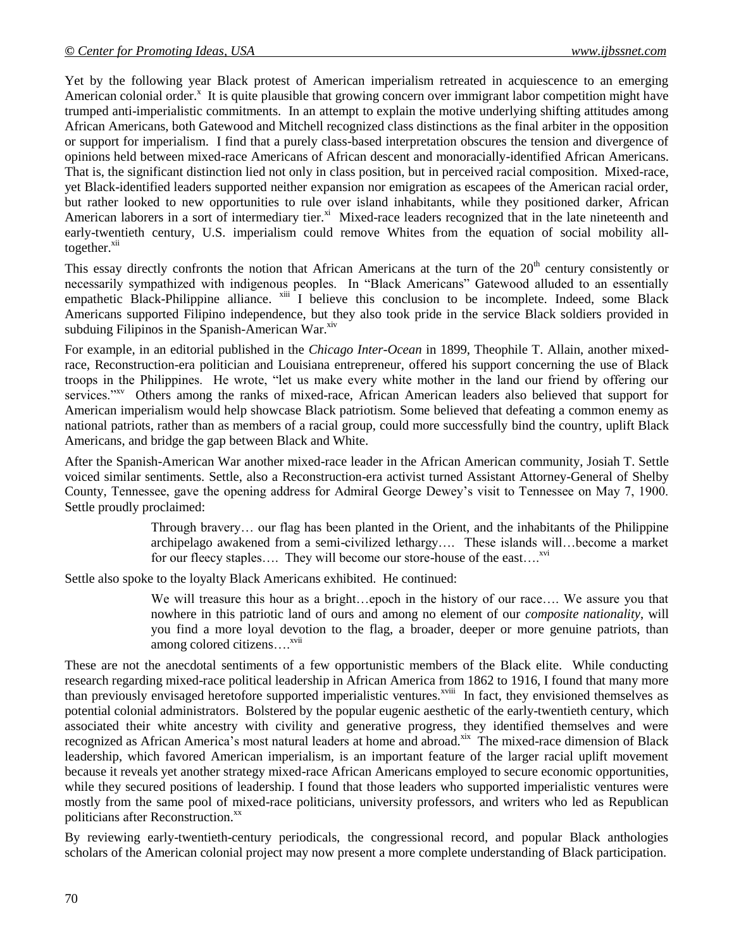Yet by the following year Black protest of American imperialism retreated in acquiescence to an emerging American colonial order.<sup>x</sup> It is quite plausible that growing concern over immigrant labor competition might have trumped anti-imperialistic commitments. In an attempt to explain the motive underlying shifting attitudes among African Americans, both Gatewood and Mitchell recognized class distinctions as the final arbiter in the opposition or support for imperialism. I find that a purely class-based interpretation obscures the tension and divergence of opinions held between mixed-race Americans of African descent and monoracially-identified African Americans. That is, the significant distinction lied not only in class position, but in perceived racial composition. Mixed-race, yet Black-identified leaders supported neither expansion nor emigration as escapees of the American racial order, but rather looked to new opportunities to rule over island inhabitants, while they positioned darker, African American laborers in a sort of intermediary tier.<sup>xi</sup> Mixed-race leaders recognized that in the late nineteenth and early-twentieth century, U.S. imperialism could remove Whites from the equation of social mobility alltogether.<sup>xii</sup>

This essay directly confronts the notion that African Americans at the turn of the 20<sup>th</sup> century consistently or necessarily sympathized with indigenous peoples. In "Black Americans" Gatewood alluded to an essentially empathetic Black-Philippine alliance.  $\frac{x\sin^2 I}{I}$  believe this conclusion to be incomplete. Indeed, some Black Americans supported Filipino independence, but they also took pride in the service Black soldiers provided in subduing Filipinos in the Spanish-American War. $\frac{x}{xy}$ 

For example, in an editorial published in the *Chicago Inter-Ocean* in 1899, Theophile T. Allain, another mixedrace, Reconstruction-era politician and Louisiana entrepreneur, offered his support concerning the use of Black troops in the Philippines. He wrote, "let us make every white mother in the land our friend by offering our services."<sup>xv</sup> Others among the ranks of mixed-race, African American leaders also believed that support for American imperialism would help showcase Black patriotism. Some believed that defeating a common enemy as national patriots, rather than as members of a racial group, could more successfully bind the country, uplift Black Americans, and bridge the gap between Black and White.

After the Spanish-American War another mixed-race leader in the African American community, Josiah T. Settle voiced similar sentiments. Settle, also a Reconstruction-era activist turned Assistant Attorney-General of Shelby County, Tennessee, gave the opening address for Admiral George Dewey's visit to Tennessee on May 7, 1900. Settle proudly proclaimed:

> Through bravery… our flag has been planted in the Orient, and the inhabitants of the Philippine archipelago awakened from a semi-civilized lethargy…. These islands will…become a market for our fleecy staples.... They will become our store-house of the east....<sup>xvi</sup>

Settle also spoke to the loyalty Black Americans exhibited. He continued:

We will treasure this hour as a bright…epoch in the history of our race…. We assure you that nowhere in this patriotic land of ours and among no element of our *composite nationality*, will you find a more loyal devotion to the flag, a broader, deeper or more genuine patriots, than among colored citizens....<sup>xvii</sup>

These are not the anecdotal sentiments of a few opportunistic members of the Black elite. While conducting research regarding mixed-race political leadership in African America from 1862 to 1916, I found that many more than previously envisaged heretofore supported imperialistic ventures.<sup>xviii</sup> In fact, they envisioned themselves as potential colonial administrators. Bolstered by the popular eugenic aesthetic of the early-twentieth century, which associated their white ancestry with civility and generative progress, they identified themselves and were recognized as African America's most natural leaders at home and abroad.<sup>xix</sup> The mixed-race dimension of Black leadership, which favored American imperialism, is an important feature of the larger racial uplift movement because it reveals yet another strategy mixed-race African Americans employed to secure economic opportunities, while they secured positions of leadership. I found that those leaders who supported imperialistic ventures were mostly from the same pool of mixed-race politicians, university professors, and writers who led as Republican politicians after Reconstruction.<sup>xx</sup>

By reviewing early-twentieth-century periodicals, the congressional record, and popular Black anthologies scholars of the American colonial project may now present a more complete understanding of Black participation.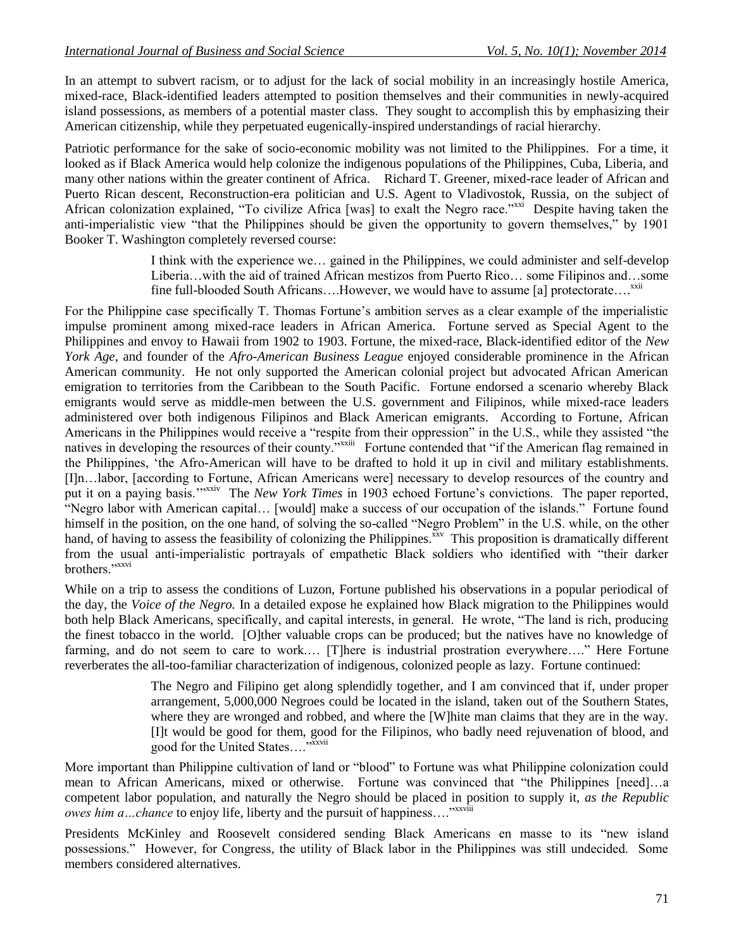In an attempt to subvert racism, or to adjust for the lack of social mobility in an increasingly hostile America, mixed-race, Black-identified leaders attempted to position themselves and their communities in newly-acquired island possessions, as members of a potential master class. They sought to accomplish this by emphasizing their American citizenship, while they perpetuated eugenically-inspired understandings of racial hierarchy.

Patriotic performance for the sake of socio-economic mobility was not limited to the Philippines. For a time, it looked as if Black America would help colonize the indigenous populations of the Philippines, Cuba, Liberia, and many other nations within the greater continent of Africa. Richard T. Greener, mixed-race leader of African and Puerto Rican descent, Reconstruction-era politician and U.S. Agent to Vladivostok, Russia, on the subject of African colonization explained, "To civilize Africa [was] to exalt the Negro race."<sup>xxi</sup> Despite having taken the anti-imperialistic view "that the Philippines should be given the opportunity to govern themselves," by 1901 Booker T. Washington completely reversed course:

> I think with the experience we… gained in the Philippines, we could administer and self-develop Liberia…with the aid of trained African mestizos from Puerto Rico… some Filipinos and…some fine full-blooded South Africans....However, we would have to assume [a] protectorate....<sup>xxii</sup>

For the Philippine case specifically T. Thomas Fortune's ambition serves as a clear example of the imperialistic impulse prominent among mixed-race leaders in African America. Fortune served as Special Agent to the Philippines and envoy to Hawaii from 1902 to 1903. Fortune, the mixed-race, Black-identified editor of the *New York Age*, and founder of the *Afro-American Business League* enjoyed considerable prominence in the African American community. He not only supported the American colonial project but advocated African American emigration to territories from the Caribbean to the South Pacific. Fortune endorsed a scenario whereby Black emigrants would serve as middle-men between the U.S. government and Filipinos, while mixed-race leaders administered over both indigenous Filipinos and Black American emigrants. According to Fortune, African Americans in the Philippines would receive a "respite from their oppression" in the U.S., while they assisted "the natives in developing the resources of their county.<sup>"xxiii</sup> Fortune contended that "if the American flag remained in the Philippines, 'the Afro-American will have to be drafted to hold it up in civil and military establishments. [I]n…labor, [according to Fortune, African Americans were] necessary to develop resources of the country and put it on a paying basis.''<sup>xxxiv</sup> The *New York Times* in 1903 echoed Fortune's convictions. The paper reported, "Negro labor with American capital… [would] make a success of our occupation of the islands." Fortune found himself in the position, on the one hand, of solving the so-called "Negro Problem" in the U.S. while, on the other hand, of having to assess the feasibility of colonizing the Philippines.<sup>xxv</sup> This proposition is dramatically different from the usual anti-imperialistic portrayals of empathetic Black soldiers who identified with "their darker brothers."<sup>xxxvi</sup>

While on a trip to assess the conditions of Luzon, Fortune published his observations in a popular periodical of the day, the *Voice of the Negro.* In a detailed expose he explained how Black migration to the Philippines would both help Black Americans, specifically, and capital interests, in general. He wrote, "The land is rich, producing the finest tobacco in the world. [O]ther valuable crops can be produced; but the natives have no knowledge of farming, and do not seem to care to work.... [T]here is industrial prostration everywhere...." Here Fortune reverberates the all-too-familiar characterization of indigenous, colonized people as lazy. Fortune continued:

> The Negro and Filipino get along splendidly together, and I am convinced that if, under proper arrangement, 5,000,000 Negroes could be located in the island, taken out of the Southern States, where they are wronged and robbed, and where the [W]hite man claims that they are in the way. [I]t would be good for them, good for the Filipinos, who badly need rejuvenation of blood, and good for the United States....<sup>"XXVii</sup>

More important than Philippine cultivation of land or "blood" to Fortune was what Philippine colonization could mean to African Americans, mixed or otherwise. Fortune was convinced that "the Philippines [need]…a competent labor population, and naturally the Negro should be placed in position to supply it, *as the Republic owes him a...chance* to enjoy life, liberty and the pursuit of happiness...."<sup>xxviii</sup>

Presidents McKinley and Roosevelt considered sending Black Americans en masse to its "new island possessions." However, for Congress, the utility of Black labor in the Philippines was still undecided. Some members considered alternatives.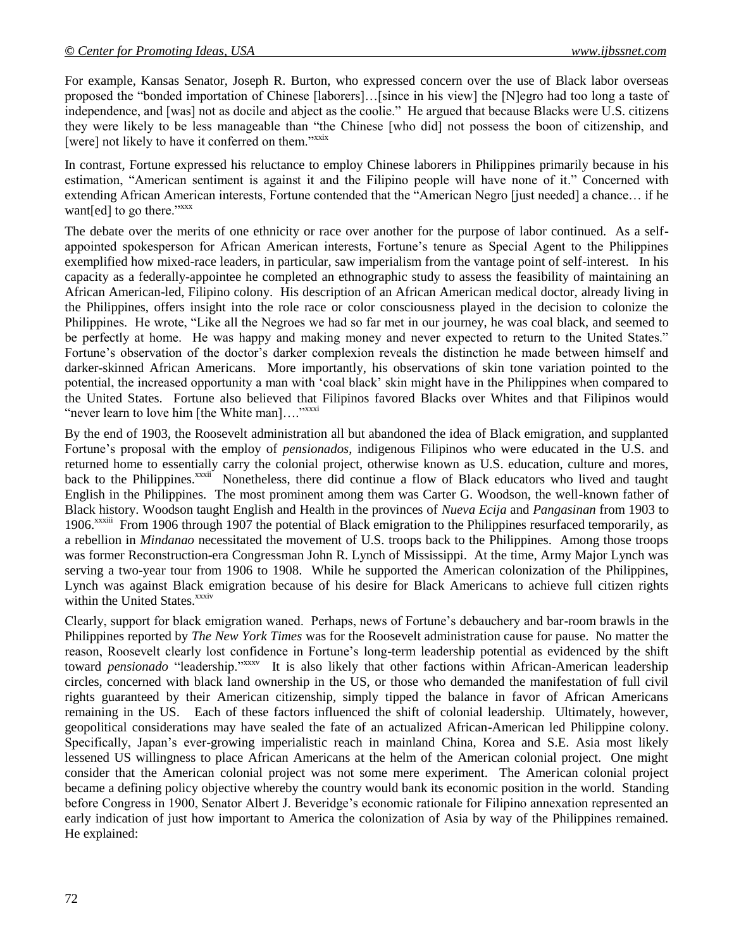For example, Kansas Senator, Joseph R. Burton, who expressed concern over the use of Black labor overseas proposed the "bonded importation of Chinese [laborers]…[since in his view] the [N]egro had too long a taste of independence, and [was] not as docile and abject as the coolie." He argued that because Blacks were U.S. citizens they were likely to be less manageable than "the Chinese [who did] not possess the boon of citizenship, and [were] not likely to have it conferred on them."<sup>xxix</sup>

In contrast, Fortune expressed his reluctance to employ Chinese laborers in Philippines primarily because in his estimation, "American sentiment is against it and the Filipino people will have none of it." Concerned with extending African American interests, Fortune contended that the "American Negro [just needed] a chance… if he want[ed] to go there."<sup>xxxx</sup>

The debate over the merits of one ethnicity or race over another for the purpose of labor continued. As a selfappointed spokesperson for African American interests, Fortune's tenure as Special Agent to the Philippines exemplified how mixed-race leaders, in particular, saw imperialism from the vantage point of self-interest. In his capacity as a federally-appointee he completed an ethnographic study to assess the feasibility of maintaining an African American-led, Filipino colony. His description of an African American medical doctor, already living in the Philippines, offers insight into the role race or color consciousness played in the decision to colonize the Philippines. He wrote, "Like all the Negroes we had so far met in our journey, he was coal black, and seemed to be perfectly at home. He was happy and making money and never expected to return to the United States." Fortune's observation of the doctor's darker complexion reveals the distinction he made between himself and darker-skinned African Americans. More importantly, his observations of skin tone variation pointed to the potential, the increased opportunity a man with 'coal black' skin might have in the Philippines when compared to the United States. Fortune also believed that Filipinos favored Blacks over Whites and that Filipinos would "never learn to love him [the White man]...."<sup>xxxi</sup>

By the end of 1903, the Roosevelt administration all but abandoned the idea of Black emigration, and supplanted Fortune's proposal with the employ of *pensionados*, indigenous Filipinos who were educated in the U.S. and returned home to essentially carry the colonial project, otherwise known as U.S. education, culture and mores, back to the Philippines.<sup>xxxii</sup> Nonetheless, there did continue a flow of Black educators who lived and taught English in the Philippines. The most prominent among them was Carter G. Woodson, the well-known father of Black history. Woodson taught English and Health in the provinces of *Nueva Ecija* and *Pangasinan* from 1903 to 1906.<sup>xxxiii</sup> From 1906 through 1907 the potential of Black emigration to the Philippines resurfaced temporarily, as a rebellion in *Mindanao* necessitated the movement of U.S. troops back to the Philippines. Among those troops was former Reconstruction-era Congressman John R. Lynch of Mississippi. At the time, Army Major Lynch was serving a two-year tour from 1906 to 1908. While he supported the American colonization of the Philippines, Lynch was against Black emigration because of his desire for Black Americans to achieve full citizen rights within the United States.<sup>xxxiv</sup>

Clearly, support for black emigration waned. Perhaps, news of Fortune's debauchery and bar-room brawls in the Philippines reported by *The New York Times* was for the Roosevelt administration cause for pause. No matter the reason, Roosevelt clearly lost confidence in Fortune's long-term leadership potential as evidenced by the shift toward *pensionado* "leadership."xxxv It is also likely that other factions within African-American leadership circles, concerned with black land ownership in the US, or those who demanded the manifestation of full civil rights guaranteed by their American citizenship, simply tipped the balance in favor of African Americans remaining in the US. Each of these factors influenced the shift of colonial leadership. Ultimately, however, geopolitical considerations may have sealed the fate of an actualized African-American led Philippine colony. Specifically, Japan's ever-growing imperialistic reach in mainland China, Korea and S.E. Asia most likely lessened US willingness to place African Americans at the helm of the American colonial project. One might consider that the American colonial project was not some mere experiment. The American colonial project became a defining policy objective whereby the country would bank its economic position in the world. Standing before Congress in 1900, Senator Albert J. Beveridge's economic rationale for Filipino annexation represented an early indication of just how important to America the colonization of Asia by way of the Philippines remained. He explained: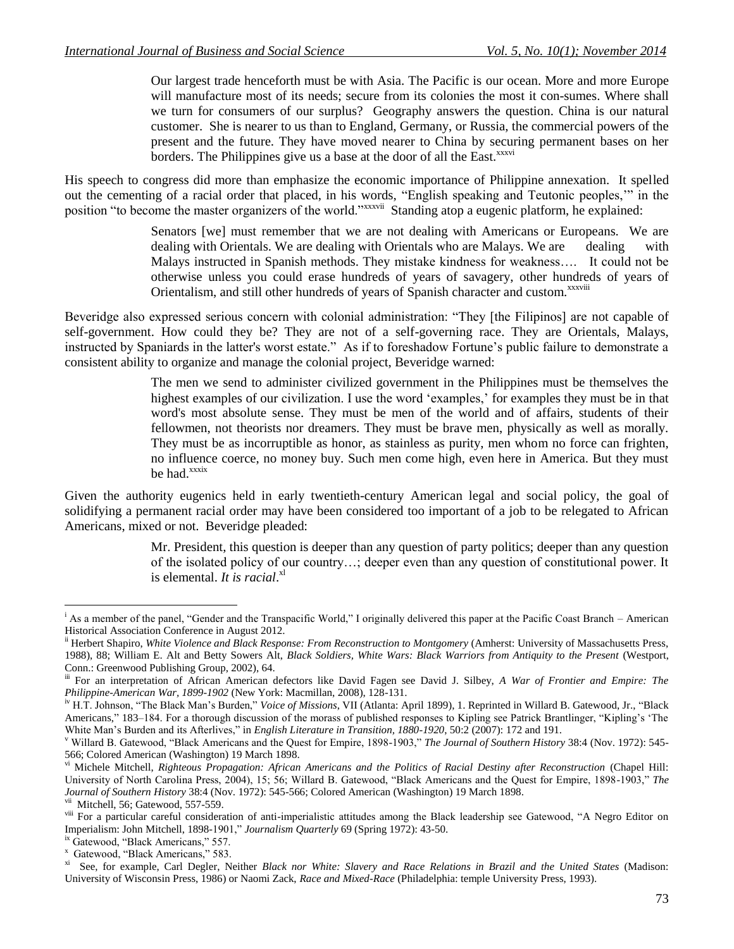Our largest trade henceforth must be with Asia. The Pacific is our ocean. More and more Europe will manufacture most of its needs; secure from its colonies the most it con-sumes. Where shall we turn for consumers of our surplus? Geography answers the question. China is our natural customer. She is nearer to us than to England, Germany, or Russia, the commercial powers of the present and the future. They have moved nearer to China by securing permanent bases on her borders. The Philippines give us a base at the door of all the East.<sup>xxxvi</sup>

His speech to congress did more than emphasize the economic importance of Philippine annexation. It spelled out the cementing of a racial order that placed, in his words, "English speaking and Teutonic peoples,'" in the position "to become the master organizers of the world."<sup>xxxvii</sup> Standing atop a eugenic platform, he explained:

> Senators [we] must remember that we are not dealing with Americans or Europeans. We are dealing with Orientals. We are dealing with Orientals who are Malays. We are dealing with Malays instructed in Spanish methods. They mistake kindness for weakness…. It could not be otherwise unless you could erase hundreds of years of savagery, other hundreds of years of Orientalism, and still other hundreds of years of Spanish character and custom.<sup>xxxviii</sup>

Beveridge also expressed serious concern with colonial administration: "They [the Filipinos] are not capable of self-government. How could they be? They are not of a self-governing race. They are Orientals, Malays, instructed by Spaniards in the latter's worst estate." As if to foreshadow Fortune's public failure to demonstrate a consistent ability to organize and manage the colonial project, Beveridge warned:

> The men we send to administer civilized government in the Philippines must be themselves the highest examples of our civilization. I use the word 'examples,' for examples they must be in that word's most absolute sense. They must be men of the world and of affairs, students of their fellowmen, not theorists nor dreamers. They must be brave men, physically as well as morally. They must be as incorruptible as honor, as stainless as purity, men whom no force can frighten, no influence coerce, no money buy. Such men come high, even here in America. But they must be had.<sup>xxxix</sup>

Given the authority eugenics held in early twentieth-century American legal and social policy, the goal of solidifying a permanent racial order may have been considered too important of a job to be relegated to African Americans, mixed or not. Beveridge pleaded:

> Mr. President, this question is deeper than any question of party politics; deeper than any question of the isolated policy of our country…; deeper even than any question of constitutional power. It is elemental. *It is racial*.<sup>xl</sup>

 $\overline{a}$ 

<sup>&</sup>lt;sup>i</sup> As a member of the panel, "Gender and the Transpacific World," I originally delivered this paper at the Pacific Coast Branch – American Historical Association Conference in August 2012.

ii Herbert Shapiro, *White Violence and Black Response: From Reconstruction to Montgomery* (Amherst: University of Massachusetts Press, 1988), 88; William E. Alt and Betty Sowers Alt, *Black Soldiers, White Wars: Black Warriors from Antiquity to the Present (Westport,* Conn.: Greenwood Publishing Group, 2002), 64.

iii For an interpretation of African American defectors like David Fagen see David J. Silbey, *A War of Frontier and Empire: The Philippine-American War, 1899-1902* (New York: Macmillan, 2008), 128-131.

iv H.T. Johnson, "The Black Man's Burden," *Voice of Missions*, VII (Atlanta: April 1899), 1. Reprinted in Willard B. Gatewood, Jr., "Black Americans," 183–184. For a thorough discussion of the morass of published responses to Kipling see Patrick Brantlinger, "Kipling's 'The White Man's Burden and its Afterlives," in *English Literature in Transition, 1880-1920*, 50:2 (2007): 172 and 191.

<sup>v</sup> Willard B. Gatewood, "Black Americans and the Quest for Empire, 1898-1903," *The Journal of Southern History* 38:4 (Nov. 1972): 545- 566; Colored American (Washington) 19 March 1898.

vi Michele Mitchell, *Righteous Propagation: African Americans and the Politics of Racial Destiny after Reconstruction* (Chapel Hill: University of North Carolina Press, 2004), 15; 56; Willard B. Gatewood, "Black Americans and the Quest for Empire, 1898-1903," *The Journal of Southern History* 38:4 (Nov. 1972): 545-566; Colored American (Washington) 19 March 1898.

vii Mitchell, 56; Gatewood, 557-559.

<sup>&</sup>lt;sup>viii</sup> For a particular careful consideration of anti-imperialistic attitudes among the Black leadership see Gatewood, "A Negro Editor on Imperialism: John Mitchell, 1898-1901," *Journalism Quarterly* 69 (Spring 1972): 43-50.

<sup>&</sup>lt;sup>ix</sup> Gatewood, "Black Americans," 557. <sup>x</sup> Gatewood, "Black Americans," 583.

xi See, for example, Carl Degler, Neither *Black nor White: Slavery and Race Relations in Brazil and the United States* (Madison: University of Wisconsin Press, 1986) or Naomi Zack, *Race and Mixed-Race* (Philadelphia: temple University Press, 1993).